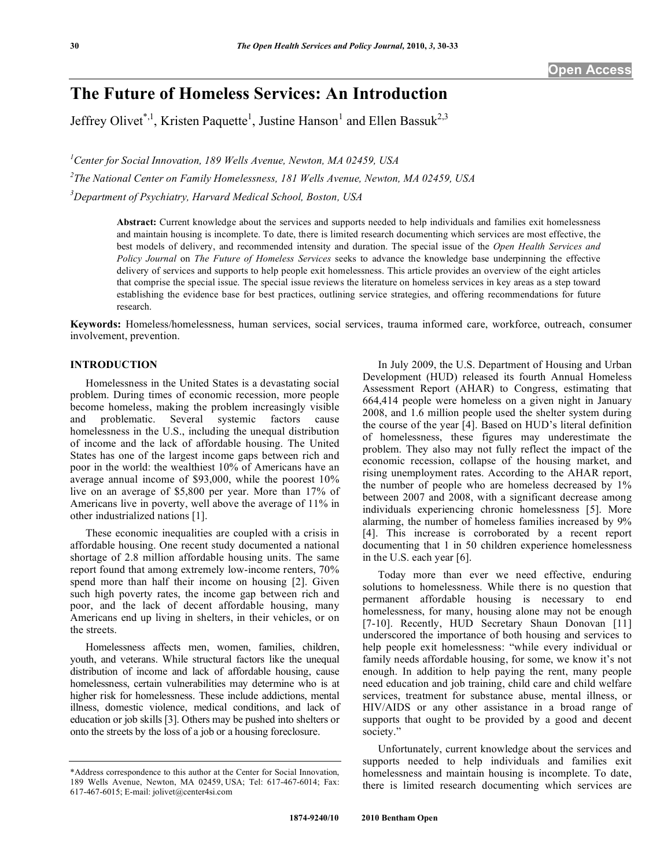# **The Future of Homeless Services: An Introduction**

Jeffrey Olivet<sup>\*,1</sup>, Kristen Paquette<sup>1</sup>, Justine Hanson<sup>1</sup> and Ellen Bassuk<sup>2,3</sup>

*1 Center for Social Innovation, 189 Wells Avenue, Newton, MA 02459, USA* 

*2 The National Center on Family Homelessness, 181 Wells Avenue, Newton, MA 02459, USA* 

*3 Department of Psychiatry, Harvard Medical School, Boston, USA* 

**Abstract:** Current knowledge about the services and supports needed to help individuals and families exit homelessness and maintain housing is incomplete. To date, there is limited research documenting which services are most effective, the best models of delivery, and recommended intensity and duration. The special issue of the *Open Health Services and Policy Journal* on *The Future of Homeless Services* seeks to advance the knowledge base underpinning the effective delivery of services and supports to help people exit homelessness. This article provides an overview of the eight articles that comprise the special issue. The special issue reviews the literature on homeless services in key areas as a step toward establishing the evidence base for best practices, outlining service strategies, and offering recommendations for future research.

**Keywords:** Homeless/homelessness, human services, social services, trauma informed care, workforce, outreach, consumer involvement, prevention.

## **INTRODUCTION**

 Homelessness in the United States is a devastating social problem. During times of economic recession, more people become homeless, making the problem increasingly visible and problematic. Several systemic factors cause homelessness in the U.S., including the unequal distribution of income and the lack of affordable housing. The United States has one of the largest income gaps between rich and poor in the world: the wealthiest 10% of Americans have an average annual income of \$93,000, while the poorest 10% live on an average of \$5,800 per year. More than 17% of Americans live in poverty, well above the average of 11% in other industrialized nations [1].

 These economic inequalities are coupled with a crisis in affordable housing. One recent study documented a national shortage of 2.8 million affordable housing units. The same report found that among extremely low-income renters, 70% spend more than half their income on housing [2]. Given such high poverty rates, the income gap between rich and poor, and the lack of decent affordable housing, many Americans end up living in shelters, in their vehicles, or on the streets.

 Homelessness affects men, women, families, children, youth, and veterans. While structural factors like the unequal distribution of income and lack of affordable housing, cause homelessness, certain vulnerabilities may determine who is at higher risk for homelessness. These include addictions, mental illness, domestic violence, medical conditions, and lack of education or job skills [3]. Others may be pushed into shelters or onto the streets by the loss of a job or a housing foreclosure.

 In July 2009, the U.S. Department of Housing and Urban Development (HUD) released its fourth Annual Homeless Assessment Report (AHAR) to Congress, estimating that 664,414 people were homeless on a given night in January 2008, and 1.6 million people used the shelter system during the course of the year [4]. Based on HUD's literal definition of homelessness, these figures may underestimate the problem. They also may not fully reflect the impact of the economic recession, collapse of the housing market, and rising unemployment rates. According to the AHAR report, the number of people who are homeless decreased by 1% between 2007 and 2008, with a significant decrease among individuals experiencing chronic homelessness [5]. More alarming, the number of homeless families increased by 9% [4]. This increase is corroborated by a recent report documenting that 1 in 50 children experience homelessness in the U.S. each year [6].

 Today more than ever we need effective, enduring solutions to homelessness. While there is no question that permanent affordable housing is necessary to end homelessness, for many, housing alone may not be enough [7-10]. Recently, HUD Secretary Shaun Donovan [11] underscored the importance of both housing and services to help people exit homelessness: "while every individual or family needs affordable housing, for some, we know it's not enough. In addition to help paying the rent, many people need education and job training, child care and child welfare services, treatment for substance abuse, mental illness, or HIV/AIDS or any other assistance in a broad range of supports that ought to be provided by a good and decent society."

 Unfortunately, current knowledge about the services and supports needed to help individuals and families exit homelessness and maintain housing is incomplete. To date, there is limited research documenting which services are

<sup>\*</sup>Address correspondence to this author at the Center for Social Innovation, 189 Wells Avenue, Newton, MA 02459, USA; Tel: 617-467-6014; Fax: 617-467-6015; E-mail: jolivet@center4si.com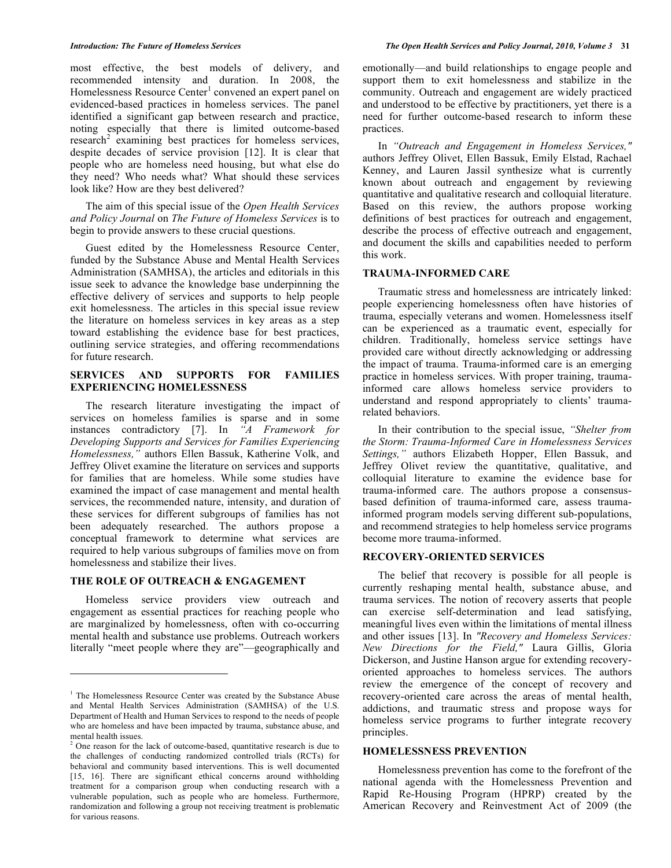most effective, the best models of delivery, and recommended intensity and duration. In 2008, the Homelessness Resource Center<sup>1</sup> convened an expert panel on evidenced-based practices in homeless services. The panel identified a significant gap between research and practice, noting especially that there is limited outcome-based research<sup>2</sup> examining best practices for homeless services, despite decades of service provision [12]. It is clear that people who are homeless need housing, but what else do they need? Who needs what? What should these services look like? How are they best delivered?

 The aim of this special issue of the *Open Health Services and Policy Journal* on *The Future of Homeless Services* is to begin to provide answers to these crucial questions.

 Guest edited by the Homelessness Resource Center, funded by the Substance Abuse and Mental Health Services Administration (SAMHSA), the articles and editorials in this issue seek to advance the knowledge base underpinning the effective delivery of services and supports to help people exit homelessness. The articles in this special issue review the literature on homeless services in key areas as a step toward establishing the evidence base for best practices, outlining service strategies, and offering recommendations for future research.

# **SERVICES AND SUPPORTS FOR FAMILIES EXPERIENCING HOMELESSNESS**

 The research literature investigating the impact of services on homeless families is sparse and in some instances contradictory [7]. In *"A Framework for Developing Supports and Services for Families Experiencing Homelessness,"* authors Ellen Bassuk, Katherine Volk, and Jeffrey Olivet examine the literature on services and supports for families that are homeless. While some studies have examined the impact of case management and mental health services, the recommended nature, intensity, and duration of these services for different subgroups of families has not been adequately researched. The authors propose a conceptual framework to determine what services are required to help various subgroups of families move on from homelessness and stabilize their lives.

### **THE ROLE OF OUTREACH & ENGAGEMENT**

 Homeless service providers view outreach and engagement as essential practices for reaching people who are marginalized by homelessness, often with co-occurring mental health and substance use problems. Outreach workers literally "meet people where they are"—geographically and

emotionally—and build relationships to engage people and support them to exit homelessness and stabilize in the community. Outreach and engagement are widely practiced and understood to be effective by practitioners, yet there is a need for further outcome-based research to inform these practices.

 In *"Outreach and Engagement in Homeless Services,"* authors Jeffrey Olivet, Ellen Bassuk, Emily Elstad, Rachael Kenney, and Lauren Jassil synthesize what is currently known about outreach and engagement by reviewing quantitative and qualitative research and colloquial literature. Based on this review, the authors propose working definitions of best practices for outreach and engagement, describe the process of effective outreach and engagement, and document the skills and capabilities needed to perform this work.

# **TRAUMA-INFORMED CARE**

 Traumatic stress and homelessness are intricately linked: people experiencing homelessness often have histories of trauma, especially veterans and women. Homelessness itself can be experienced as a traumatic event, especially for children. Traditionally, homeless service settings have provided care without directly acknowledging or addressing the impact of trauma. Trauma-informed care is an emerging practice in homeless services. With proper training, traumainformed care allows homeless service providers to understand and respond appropriately to clients' traumarelated behaviors.

 In their contribution to the special issue, *"Shelter from the Storm: Trauma-Informed Care in Homelessness Services Settings,"* authors Elizabeth Hopper, Ellen Bassuk, and Jeffrey Olivet review the quantitative, qualitative, and colloquial literature to examine the evidence base for trauma-informed care. The authors propose a consensusbased definition of trauma-informed care, assess traumainformed program models serving different sub-populations, and recommend strategies to help homeless service programs become more trauma-informed.

# **RECOVERY-ORIENTED SERVICES**

 The belief that recovery is possible for all people is currently reshaping mental health, substance abuse, and trauma services. The notion of recovery asserts that people can exercise self-determination and lead satisfying, meaningful lives even within the limitations of mental illness and other issues [13]. In *"Recovery and Homeless Services: New Directions for the Field,"* Laura Gillis, Gloria Dickerson, and Justine Hanson argue for extending recoveryoriented approaches to homeless services. The authors review the emergence of the concept of recovery and recovery-oriented care across the areas of mental health, addictions, and traumatic stress and propose ways for homeless service programs to further integrate recovery principles.

### **HOMELESSNESS PREVENTION**

 Homelessness prevention has come to the forefront of the national agenda with the Homelessness Prevention and Rapid Re-Housing Program (HPRP) created by the American Recovery and Reinvestment Act of 2009 (the

<sup>&</sup>lt;sup>1</sup> The Homelessness Resource Center was created by the Substance Abuse and Mental Health Services Administration (SAMHSA) of the U.S. Department of Health and Human Services to respond to the needs of people who are homeless and have been impacted by trauma, substance abuse, and mental health issues.

 $2^2$  One reason for the lack of outcome-based, quantitative research is due to the challenges of conducting randomized controlled trials (RCTs) for behavioral and community based interventions. This is well documented [15, 16]. There are significant ethical concerns around withholding treatment for a comparison group when conducting research with a vulnerable population, such as people who are homeless. Furthermore, randomization and following a group not receiving treatment is problematic for various reasons.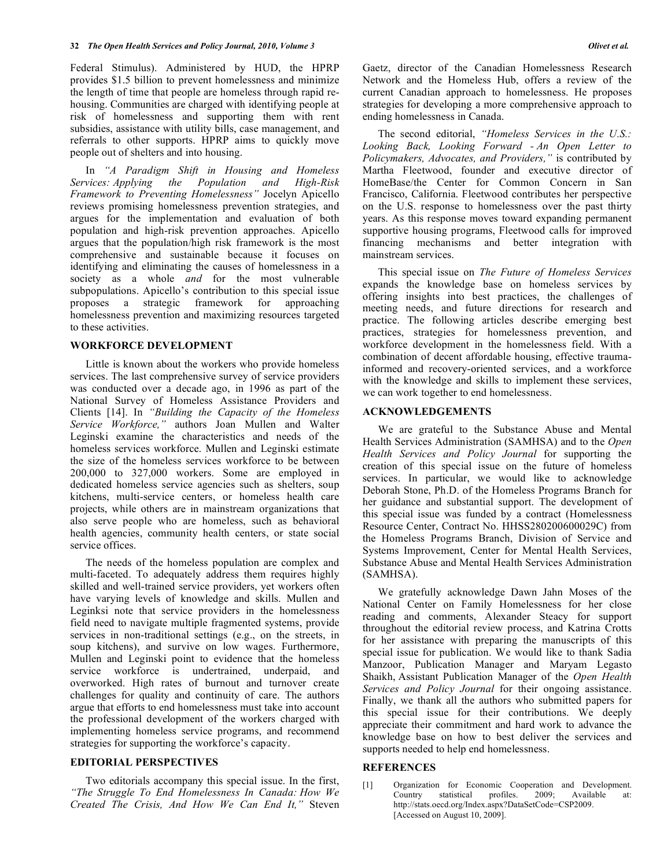Federal Stimulus). Administered by HUD, the HPRP provides \$1.5 billion to prevent homelessness and minimize the length of time that people are homeless through rapid rehousing. Communities are charged with identifying people at risk of homelessness and supporting them with rent subsidies, assistance with utility bills, case management, and referrals to other supports. HPRP aims to quickly move people out of shelters and into housing.

 In *"A Paradigm Shift in Housing and Homeless Services: Applying the Population and High-Risk Framework to Preventing Homelessness"* Jocelyn Apicello reviews promising homelessness prevention strategies, and argues for the implementation and evaluation of both population and high-risk prevention approaches. Apicello argues that the population/high risk framework is the most comprehensive and sustainable because it focuses on identifying and eliminating the causes of homelessness in a society as a whole *and* for the most vulnerable subpopulations. Apicello's contribution to this special issue proposes a strategic framework for approaching homelessness prevention and maximizing resources targeted to these activities.

# **WORKFORCE DEVELOPMENT**

 Little is known about the workers who provide homeless services. The last comprehensive survey of service providers was conducted over a decade ago, in 1996 as part of the National Survey of Homeless Assistance Providers and Clients [14]. In *"Building the Capacity of the Homeless Service Workforce,"* authors Joan Mullen and Walter Leginski examine the characteristics and needs of the homeless services workforce. Mullen and Leginski estimate the size of the homeless services workforce to be between 200,000 to 327,000 workers. Some are employed in dedicated homeless service agencies such as shelters, soup kitchens, multi-service centers, or homeless health care projects, while others are in mainstream organizations that also serve people who are homeless, such as behavioral health agencies, community health centers, or state social service offices.

 The needs of the homeless population are complex and multi-faceted. To adequately address them requires highly skilled and well-trained service providers, yet workers often have varying levels of knowledge and skills. Mullen and Leginksi note that service providers in the homelessness field need to navigate multiple fragmented systems, provide services in non-traditional settings (e.g., on the streets, in soup kitchens), and survive on low wages. Furthermore, Mullen and Leginski point to evidence that the homeless service workforce is undertrained, underpaid, and overworked. High rates of burnout and turnover create challenges for quality and continuity of care. The authors argue that efforts to end homelessness must take into account the professional development of the workers charged with implementing homeless service programs, and recommend strategies for supporting the workforce's capacity.

# **EDITORIAL PERSPECTIVES**

 Two editorials accompany this special issue. In the first, *"The Struggle To End Homelessness In Canada: How We Created The Crisis, And How We Can End It,"* Steven

Gaetz, director of the Canadian Homelessness Research Network and the Homeless Hub, offers a review of the current Canadian approach to homelessness. He proposes strategies for developing a more comprehensive approach to ending homelessness in Canada.

 The second editorial, *"Homeless Services in the U.S.: Looking Back, Looking Forward - An Open Letter to Policymakers, Advocates, and Providers,"* is contributed by Martha Fleetwood, founder and executive director of HomeBase/the Center for Common Concern in San Francisco, California. Fleetwood contributes her perspective on the U.S. response to homelessness over the past thirty years. As this response moves toward expanding permanent supportive housing programs, Fleetwood calls for improved financing mechanisms and better integration with mainstream services.

 This special issue on *The Future of Homeless Services* expands the knowledge base on homeless services by offering insights into best practices, the challenges of meeting needs, and future directions for research and practice. The following articles describe emerging best practices, strategies for homelessness prevention, and workforce development in the homelessness field. With a combination of decent affordable housing, effective traumainformed and recovery-oriented services, and a workforce with the knowledge and skills to implement these services, we can work together to end homelessness.

# **ACKNOWLEDGEMENTS**

 We are grateful to the Substance Abuse and Mental Health Services Administration (SAMHSA) and to the *Open Health Services and Policy Journal* for supporting the creation of this special issue on the future of homeless services. In particular, we would like to acknowledge Deborah Stone, Ph.D. of the Homeless Programs Branch for her guidance and substantial support. The development of this special issue was funded by a contract (Homelessness Resource Center, Contract No. HHSS280200600029C) from the Homeless Programs Branch, Division of Service and Systems Improvement, Center for Mental Health Services, Substance Abuse and Mental Health Services Administration (SAMHSA).

 We gratefully acknowledge Dawn Jahn Moses of the National Center on Family Homelessness for her close reading and comments, Alexander Steacy for support throughout the editorial review process, and Katrina Crotts for her assistance with preparing the manuscripts of this special issue for publication. We would like to thank Sadia Manzoor, Publication Manager and Maryam Legasto Shaikh, Assistant Publication Manager of the *Open Health Services and Policy Journal* for their ongoing assistance. Finally, we thank all the authors who submitted papers for this special issue for their contributions. We deeply appreciate their commitment and hard work to advance the knowledge base on how to best deliver the services and supports needed to help end homelessness.

### **REFERENCES**

[1] Organization for Economic Cooperation and Development. Country statistical profiles. 2009; Available at: http://stats.oecd.org/Index.aspx?DataSetCode=CSP2009. [Accessed on August 10, 2009].